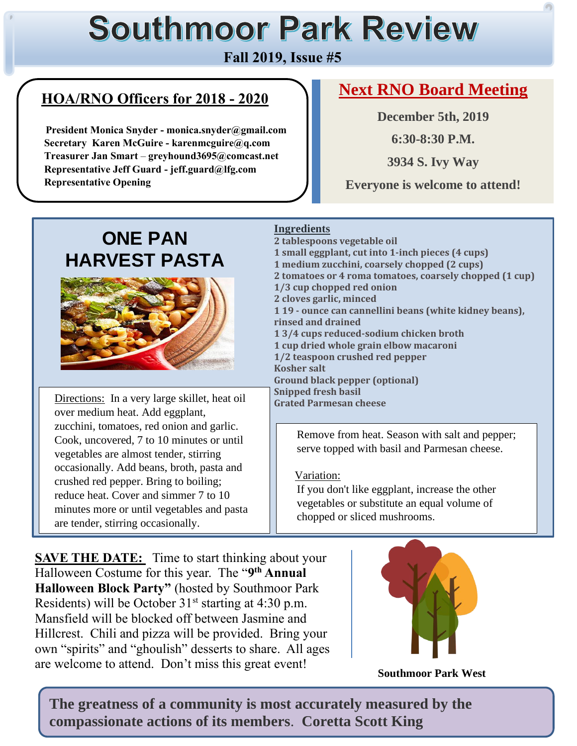# **Southmoor Park Review**

#### **Fall 2019, Issue #5**

## **HOA/RNO Officers for 2018 - 2020**

 **President Monica Snyder - monica.snyder@gmail.com Secretary Karen McGuire - karenmcguire@q.com Treasurer Jan Smart** – **greyhound3695@comcast.net Representative Jeff Guard - jeff.guard@lfg.com Representative Opening** 

### **Next RNO Board Meeting**

**December 5th, 2019**

**6:30-8:30 P.M.**

**3934 S. Ivy Way** 

**Everyone is welcome to attend!**

# **ONE PAN HARVEST PASTA**



Directions: In a very large skillet, heat oil over medium heat. Add eggplant, zucchini, tomatoes, red onion and garlic. Cook, uncovered, 7 to 10 minutes or until vegetables are almost tender, stirring occasionally. Add beans, broth, pasta and crushed red pepper. Bring to boiling; reduce heat. Cover and simmer 7 to 10 minutes more or until vegetables and pasta are tender, stirring occasionally.

#### **Ingredients**

**2 tablespoons vegetable oil 1 small eggplant, cut into 1-inch pieces (4 cups) 1 medium zucchini, coarsely chopped (2 cups) 2 tomatoes or 4 roma tomatoes, coarsely chopped (1 cup) 1/3 cup chopped red onion 2 cloves garlic, minced 1 19 - ounce can cannellini beans (white kidney beans), rinsed and drained 1 3/4 cups reduced-sodium chicken broth 1 cup dried whole grain elbow macaroni 1/2 teaspoon crushed red pepper Kosher salt Ground black pepper (optional) Snipped fresh basil Grated Parmesan cheese**

Remove from heat. Season with salt and pepper; serve topped with basil and Parmesan cheese.

#### Variation:

If you don't like eggplant, increase the other vegetables or substitute an equal volume of chopped or sliced mushrooms.

**SAVE THE DATE:** Time to start thinking about your Halloween Costume for this year. The "**9 th Annual Halloween Block Party"** (hosted by Southmoor Park Residents) will be October  $31<sup>st</sup>$  starting at 4:30 p.m. Mansfield will be blocked off between Jasmine and Hillcrest. Chili and pizza will be provided. Bring your own "spirits" and "ghoulish" desserts to share. All ages are welcome to attend. Don't miss this great event!



**Southmoor Park West**

**The greatness of a community is most accurately measured by the compassionate actions of its members**. **Coretta Scott King**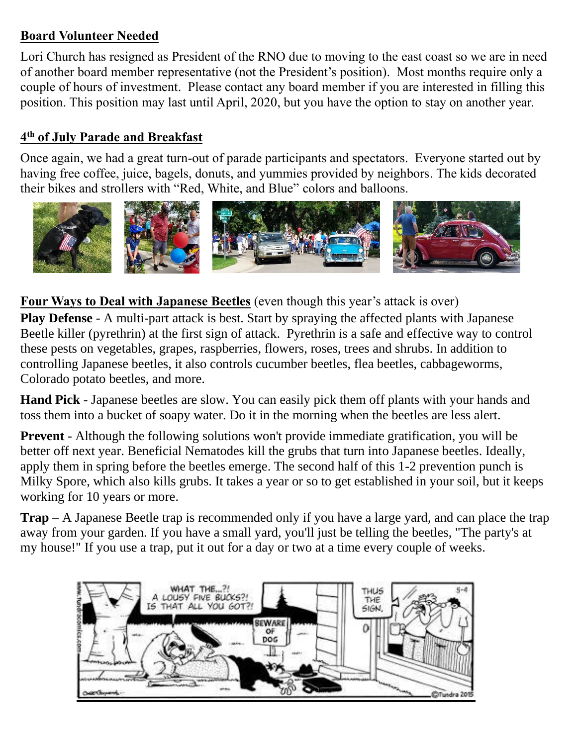#### **Board Volunteer Needed**

Lori Church has resigned as President of the RNO due to moving to the east coast so we are in need of another board member representative (not the President's position). Most months require only a couple of hours of investment. Please contact any board member if you are interested in filling this position. This position may last until April, 2020, but you have the option to stay on another year.

#### **4 th of July Parade and Breakfast**

Once again, we had a great turn-out of parade participants and spectators. Everyone started out by having free coffee, juice, bagels, donuts, and yummies provided by neighbors. The kids decorated their bikes and strollers with "Red, White, and Blue" colors and balloons.



**Four Ways to Deal with Japanese Beetles** (even though this year's attack is over)

**Play Defense** - A multi-part attack is best. Start by spraying the affected plants with Japanese Beetle killer (pyrethrin) at the first sign of attack. Pyrethrin is a safe and effective way to control these pests on vegetables, grapes, raspberries, flowers, roses, trees and shrubs. In addition to controlling Japanese beetles, it also controls cucumber beetles, flea beetles, cabbageworms, Colorado potato beetles, and more.

**Hand Pick** - Japanese beetles are slow. You can easily pick them off plants with your hands and toss them into a bucket of soapy water. Do it in the morning when the beetles are less alert.

**Prevent** - Although the following solutions won't provide immediate gratification, you will be better off next year. Beneficial Nematodes kill the grubs that turn into Japanese beetles. Ideally, apply them in spring before the beetles emerge. The second half of this 1-2 prevention punch is Milky Spore, which also kills grubs. It takes a year or so to get established in your soil, but it keeps working for 10 years or more.

**Trap** – A Japanese Beetle trap is recommended only if you have a large yard, and can place the trap away from your garden. If you have a small yard, you'll just be telling the beetles, "The party's at my house!" If you use a trap, put it out for a day or two at a time every couple of weeks.

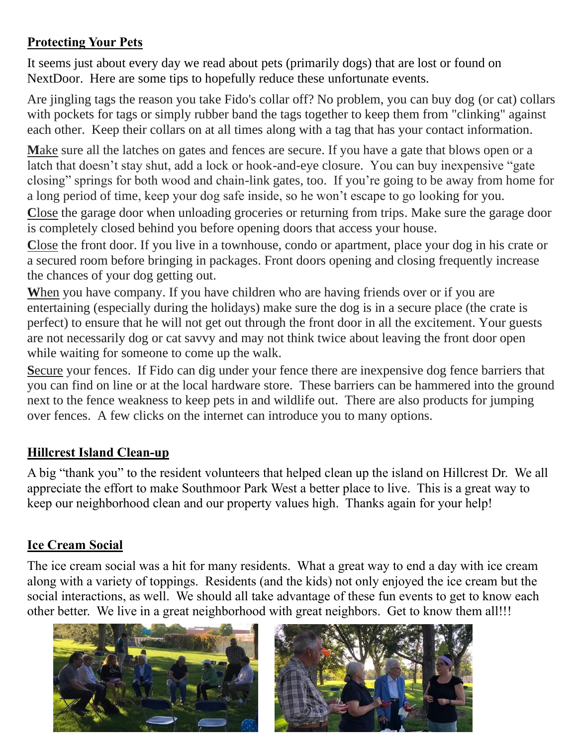#### **Protecting Your Pets**

It seems just about every day we read about pets (primarily dogs) that are lost or found on NextDoor. Here are some tips to hopefully reduce these unfortunate events.

Are jingling tags the reason you take Fido's collar off? No problem, you can buy dog (or cat) collars with pockets for tags or simply rubber band the tags together to keep them from "clinking" against each other. Keep their collars on at all times along with a tag that has your contact information.

**M**ake sure all the latches on gates and fences are secure. If you have a gate that blows open or a latch that doesn't stay shut, add a lock or hook-and-eye closure. You can buy inexpensive "gate closing" springs for both wood and chain-link gates, too. If you're going to be away from home for a long period of time, keep your dog safe inside, so he won't escape to go looking for you.

**C**lose the garage door when unloading groceries or returning from trips. Make sure the garage door is completely closed behind you before opening doors that access your house.

**C**lose the front door. If you live in a townhouse, condo or apartment, place your dog in his crate or a secured room before bringing in packages. Front doors opening and closing frequently increase the chances of your dog getting out.

When you have company. If you have children who are having friends over or if you are entertaining (especially during the holidays) make sure the dog is in a secure place (the crate is perfect) to ensure that he will not get out through the front door in all the excitement. Your guests are not necessarily dog or cat savvy and may not think twice about leaving the front door open while waiting for someone to come up the walk.

**S**ecure your fences. If Fido can dig under your fence there are inexpensive dog fence barriers that you can find on line or at the local hardware store. These barriers can be hammered into the ground next to the fence weakness to keep pets in and wildlife out. There are also products for jumping over fences. A few clicks on the internet can introduce you to many options.

#### **Hillcrest Island Clean-up**

A big "thank you" to the resident volunteers that helped clean up the island on Hillcrest Dr. We all appreciate the effort to make Southmoor Park West a better place to live. This is a great way to keep our neighborhood clean and our property values high. Thanks again for your help!

#### **Ice Cream Social**

The ice cream social was a hit for many residents. What a great way to end a day with ice cream along with a variety of toppings. Residents (and the kids) not only enjoyed the ice cream but the social interactions, as well. We should all take advantage of these fun events to get to know each other better. We live in a great neighborhood with great neighbors. Get to know them all!!!